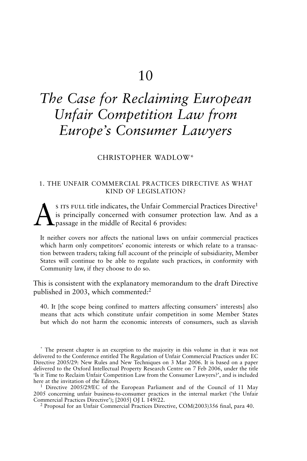# 10

# *The Case for Reclaiming European Unfair Competition Law from Europe's Consumer Lawyers*

# CHRISTOPHER WADLOW\*

# 1. THE UNFAIR COMMERCIAL PRACTICES DIRECTIVE AS WHAT KIND OF LEGISLATION?

S ITS FULL title indicates, the Unfair Commercial Practices Directive<sup>1</sup> is principally concerned with consumer protection law. And as a passage in the middle of Recital 6 provides: is principally concerned with consumer protection law. And as a passage in the middle of Recital 6 provides:

It neither covers nor affects the national laws on unfair commercial practices which harm only competitors' economic interests or which relate to a transaction between traders; taking full account of the principle of subsidiarity, Member States will continue to be able to regulate such practices, in conformity with Community law, if they choose to do so.

This is consistent with the explanatory memorandum to the draft Directive published in 2003, which commented:<sup>2</sup>

40. It [the scope being confined to matters affecting consumers' interests] also means that acts which constitute unfair competition in some Member States but which do not harm the economic interests of consumers, such as slavish

\* The present chapter is an exception to the majority in this volume in that it was not delivered to the Conference entitled The Regulation of Unfair Commercial Practices under EC Directive 2005/29: New Rules and New Techniques on 3 Mar 2006. It is based on a paper delivered to the Oxford Intellectual Property Research Centre on 7 Feb 2006, under the title 'Is it Time to Reclaim Unfair Competition Law from the Consumer Lawyers?', and is included here at the invitation of the Editors.

1 Directive 2005/29/EC of the European Parliament and of the Council of 11 May 2005 concerning unfair business-to-consumer practices in the internal market ('the Unfair Commercial Practices Directive'); [2005] OJ L 149/22.

2 Proposal for an Unfair Commercial Practices Directive, COM(2003)356 final, para 40.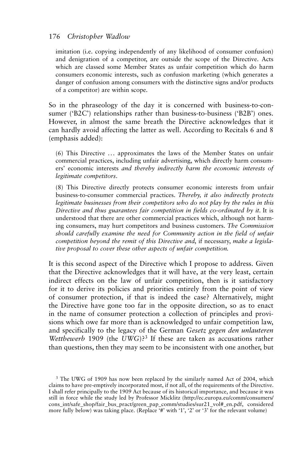#### 176 *Christopher Wadlow*

imitation (i.e. copying independently of any likelihood of consumer confusion) and denigration of a competitor, are outside the scope of the Directive. Acts which are classed some Member States as unfair competition which do harm consumers economic interests, such as confusion marketing (which generates a danger of confusion among consumers with the distinctive signs and/or products of a competitor) are within scope.

So in the phraseology of the day it is concerned with business-to-consumer ('B2C') relationships rather than business-to-business ('B2B') ones. However, in almost the same breath the Directive acknowledges that it can hardly avoid affecting the latter as well. According to Recitals 6 and 8 (emphasis added):

(6) This Directive ... approximates the laws of the Member States on unfair commercial practices, including unfair advertising, which directly harm consumers' economic interests *and thereby indirectly harm the economic interests of legitimate competitors*.

(8) This Directive directly protects consumer economic interests from unfair business-to-consumer commercial practices. *Thereby, it also indirectly protects legitimate businesses from their competitors who do not play by the rules in this Directive and thus guarantees fair competition in fields co-ordinated by it.* It is understood that there are other commercial practices which, although not harming consumers, may hurt competitors and business customers. *The Commission should carefully examine the need for Community action in the field of unfair competition beyond the remit of this Directive and*, if necessary, *make a legislative proposal to cover these other aspects of unfair competition*.

It is this second aspect of the Directive which I propose to address. Given that the Directive acknowledges that it will have, at the very least, certain indirect effects on the law of unfair competition, then is it satisfactory for it to derive its policies and priorities entirely from the point of view of consumer protection, if that is indeed the case? Alternatively, might the Directive have gone too far in the opposite direction, so as to enact in the name of consumer protection a collection of principles and provisions which owe far more than is acknowledged to unfair competition law, and specifically to the legacy of the German *Gesetz gegen den unlauteren Wettbewerb* 1909 (the *UWG*)?<sup>3</sup> If these are taken as accusations rather than questions, then they may seem to be inconsistent with one another, but

<sup>&</sup>lt;sup>3</sup> The UWG of 1909 has now been replaced by the similarly named Act of 2004, which claims to have pre-emptively incorporated most, if not all, of the requirements of the Directive. I shall refer principally to the 1909 Act because of its historical importance, and because it was still in force while the study led by Professor Micklitz (http://ec.europa.eu/comm/consumers/ cons\_int/safe\_shop/fair\_bus\_pract/green\_pap\_comm/studies/sur21\_vol#\_en.pdf, considered more fully below) was taking place. (Replace '#' with '1', '2' or '3' for the relevant volume)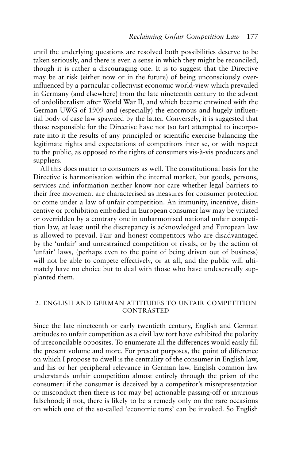until the underlying questions are resolved both possibilities deserve to be taken seriously, and there is even a sense in which they might be reconciled, though it is rather a discouraging one. It is to suggest that the Directive may be at risk (either now or in the future) of being unconsciously overinfluenced by a particular collectivist economic world-view which prevailed in Germany (and elsewhere) from the late nineteenth century to the advent of ordoliberalism after World War II, and which became entwined with the German UWG of 1909 and (especially) the enormous and hugely influential body of case law spawned by the latter. Conversely, it is suggested that those responsible for the Directive have not (so far) attempted to incorporate into it the results of any principled or scientific exercise balancing the legitimate rights and expectations of competitors inter se, or with respect to the public, as opposed to the rights of consumers vis-à-vis producers and suppliers.

All this does matter to consumers as well. The constitutional basis for the Directive is harmonisation within the internal market, but goods, persons, services and information neither know nor care whether legal barriers to their free movement are characterised as measures for consumer protection or come under a law of unfair competition. An immunity, incentive, disincentive or prohibition embodied in European consumer law may be vitiated or overridden by a contrary one in unharmonised national unfair competition law, at least until the discrepancy is acknowledged and European law is allowed to prevail. Fair and honest competitors who are disadvantaged by the 'unfair' and unrestrained competition of rivals, or by the action of 'unfair' laws, (perhaps even to the point of being driven out of business) will not be able to compete effectively, or at all, and the public will ultimately have no choice but to deal with those who have undeservedly supplanted them.

# 2. ENGLISH AND GERMAN ATTITUDES TO UNFAIR COMPETITION CONTRASTED

Since the late nineteenth or early twentieth century, English and German attitudes to unfair competition as a civil law tort have exhibited the polarity of irreconcilable opposites. To enumerate all the differences would easily fill the present volume and more. For present purposes, the point of difference on which I propose to dwell is the centrality of the consumer in English law, and his or her peripheral relevance in German law. English common law understands unfair competition almost entirely through the prism of the consumer: if the consumer is deceived by a competitor's misrepresentation or misconduct then there is (or may be) actionable passing-off or injurious falsehood; if not, there is likely to be a remedy only on the rare occasions on which one of the so-called 'economic torts' can be invoked. So English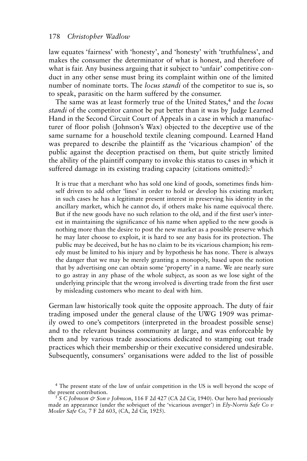#### 178 *Christopher Wadlow*

law equates 'fairness' with 'honesty', and 'honesty' with 'truthfulness', and makes the consumer the determinator of what is honest, and therefore of what is fair. Any business arguing that it subject to 'unfair' competitive conduct in any other sense must bring its complaint within one of the limited number of nominate torts. The *locus standi* of the competitor to sue is, so to speak, parasitic on the harm suffered by the consumer.

The same was at least formerly true of the United States,<sup>4</sup> and the *locus standi* of the competitor cannot be put better than it was by Judge Learned Hand in the Second Circuit Court of Appeals in a case in which a manufacturer of floor polish (Johnson's Wax) objected to the deceptive use of the same surname for a household textile cleaning compound. Learned Hand was prepared to describe the plaintiff as the 'vicarious champion' of the public against the deception practised on them, but quite strictly limited the ability of the plaintiff company to invoke this status to cases in which it suffered damage in its existing trading capacity (citations omitted):<sup>5</sup>

It is true that a merchant who has sold one kind of goods, sometimes finds himself driven to add other 'lines' in order to hold or develop his existing market; in such cases he has a legitimate present interest in preserving his identity in the ancillary market, which he cannot do, if others make his name equivocal there. But if the new goods have no such relation to the old, and if the first user's interest in maintaining the significance of his name when applied to the new goods is nothing more than the desire to post the new market as a possible preserve which he may later choose to exploit, it is hard to see any basis for its protection. The public may be deceived, but he has no claim to be its vicarious champion; his remedy must be limited to his injury and by hypothesis he has none. There is always the danger that we may be merely granting a monopoly, based upon the notion that by advertising one can obtain some 'property' in a name. We are nearly sure to go astray in any phase of the whole subject, as soon as we lose sight of the underlying principle that the wrong involved is diverting trade from the first user by misleading customers who meant to deal with him.

German law historically took quite the opposite approach. The duty of fair trading imposed under the general clause of the UWG 1909 was primarily owed to one's competitors (interpreted in the broadest possible sense) and to the relevant business community at large, and was enforceable by them and by various trade associations dedicated to stamping out trade practices which their membership or their executive considered undesirable. Subsequently, consumers' organisations were added to the list of possible

<sup>4</sup> The present state of the law of unfair competition in the US is well beyond the scope of the present contribution. 5 *S C Johnson & Son v Johnson*, 116 F 2d 427 (CA 2d Cir, 1940). Our hero had previously

made an appearance (under the sobriquet of the 'vicarious avenger') in *Ely-Norris Safe Co v Mosler Safe Co,* 7 F 2d 603, (CA, 2d Cir, 1925).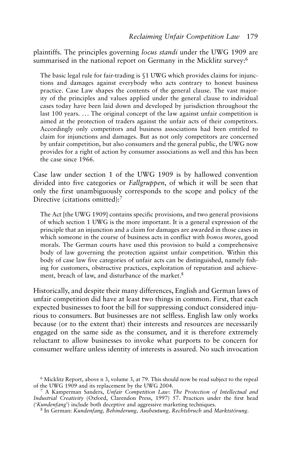plaintiffs. The principles governing *locus standi* under the UWG 1909 are summarised in the national report on Germany in the Micklitz survey:<sup>6</sup>

The basic legal rule for fair-trading is §1 UWG which provides claims for injunctions and damages against everybody who acts contrary to honest business practice. Case Law shapes the contents of the general clause. The vast majority of the principles and values applied under the general clause to individual cases today have been laid down and developed by jurisdiction throughout the last  $100$  years.  $\ldots$  The original concept of the law against unfair competition is aimed at the protection of traders against the unfair acts of their competitors. Accordingly only competitors and business associations had been entitled to claim for injunctions and damages. But as not only competitors are concerned by unfair competition, but also consumers and the general public, the UWG now provides for a right of action by consumer associations as well and this has been the case since 1966.

Case law under section 1 of the UWG 1909 is by hallowed convention divided into five categories or *Fallgruppen*, of which it will be seen that only the first unambiguously corresponds to the scope and policy of the Directive (citations omitted):7

The Act [the UWG 1909] contains specific provisions, and two general provisions of which section 1 UWG is the more important. It is a general expression of the principle that an injunction and a claim for damages are awarded in those cases in which someone in the course of business acts in conflict with *bonos mores*, good morals. The German courts have used this provision to build a comprehensive body of law governing the protection against unfair competition. Within this body of case law five categories of unfair acts can be distinguished, namely fishing for customers, obstructive practices, exploitation of reputation and achievement, breach of law, and disturbance of the market.<sup>8</sup>

Historically, and despite their many differences, English and German laws of unfair competition did have at least two things in common. First, that each expected businesses to foot the bill for suppressing conduct considered injurious to consumers. But businesses are not selfless. English law only works because (or to the extent that) their interests and resources are necessarily engaged on the same side as the consumer, and it is therefore extremely reluctant to allow businesses to invoke what purports to be concern for consumer welfare unless identity of interests is assured. No such invocation

 $6$  Micklitz Report, above n 3, volume 3, at 79. This should now be read subject to the repeal of the UWG 1909 and its replacement by the UWG 2004.

<sup>&</sup>lt;sup>7</sup> A Kamperman Sanders, *Unfair Competition Law: The Protection of Intellectual and Industrial Creativity* (Oxford, Clarendon Press, 1997) 57. Practices under the first head ('Kundenfang') include both deceptive and aggressive marketing techniques.

<sup>(&#</sup>x27;*Kundenfang*') include both deceptive and aggressive marketing techniques. 8 In German: *Kundenfang, Behinderung, Ausbeutung, Rechtsbruch* and *Marktstörung*.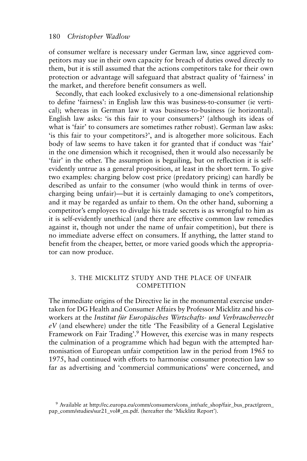of consumer welfare is necessary under German law, since aggrieved competitors may sue in their own capacity for breach of duties owed directly to them, but it is still assumed that the actions competitors take for their own protection or advantage will safeguard that abstract quality of 'fairness' in the market, and therefore benefit consumers as well.

Secondly, that each looked exclusively to a one-dimensional relationship to define 'fairness': in English law this was business-to-consumer (ie vertical); whereas in German law it was business-to-business (ie horizontal). English law asks: 'is this fair to your consumers?' (although its ideas of what is 'fair' to consumers are sometimes rather robust). German law asks: 'is this fair to your competitors?', and is altogether more solicitous. Each body of law seems to have taken it for granted that if conduct was 'fair' in the one dimension which it recognised, then it would also necessarily be 'fair' in the other. The assumption is beguiling, but on reflection it is selfevidently untrue as a general proposition, at least in the short term. To give two examples: charging below cost price (predatory pricing) can hardly be described as unfair to the consumer (who would think in terms of overcharging being unfair)—but it is certainly damaging to one's competitors, and it may be regarded as unfair to them. On the other hand, suborning a competitor's employees to divulge his trade secrets is as wrongful to him as it is self-evidently unethical (and there are effective common law remedies against it, though not under the name of unfair competition), but there is no immediate adverse effect on consumers. If anything, the latter stand to benefit from the cheaper, better, or more varied goods which the appropriator can now produce.

# 3. THE MICKLITZ STUDY AND THE PLACE OF UNFAIR COMPETITION

The immediate origins of the Directive lie in the monumental exercise undertaken for DG Health and Consumer Affairs by Professor Micklitz and his coworkers at the *Institut für Europäisches Wirtschafts- und Verbraucherrecht eV* (and elsewhere) under the title 'The Feasibility of a General Legislative Framework on Fair Trading'.<sup>9</sup> However, this exercise was in many respects the culmination of a programme which had begun with the attempted harmonisation of European unfair competition law in the period from 1965 to 1975, had continued with efforts to harmonise consumer protection law so far as advertising and 'commercial communications' were concerned, and

<sup>&</sup>lt;sup>9</sup> Available at http://ec.europa.eu/comm/consumers/cons\_int/safe\_shop/fair\_bus\_pract/green\_ pap\_comm/studies/sur21\_vol#\_en.pdf. (hereafter the 'Micklitz Report').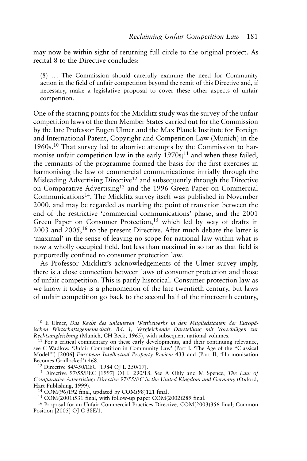may now be within sight of returning full circle to the original project. As recital 8 to the Directive concludes:

(8) ... The Commission should carefully examine the need for Community action in the field of unfair competition beyond the remit of this Directive and, if necessary, make a legislative proposal to cover these other aspects of unfair competition.

One of the starting points for the Micklitz study was the survey of the unfair competition laws of the then Member States carried out for the Commission by the late Professor Eugen Ulmer and the Max Planck Institute for Foreign and International Patent, Copyright and Competition Law (Munich) in the 1960s.10 That survey led to abortive attempts by the Commission to harmonise unfair competition law in the early  $1970s$ ;<sup>11</sup> and when these failed, the remnants of the programme formed the basis for the first exercises in harmonising the law of commercial communications: initially through the Misleading Advertising Directive<sup>12</sup> and subsequently through the Directive on Comparative Advertising<sup>13</sup> and the 1996 Green Paper on Commercial Communications14. The Micklitz survey itself was published in November 2000, and may be regarded as marking the point of transition between the end of the restrictive 'commercial communications' phase, and the 2001 Green Paper on Consumer Protection,<sup>15</sup> which led by way of drafts in 2003 and 2005,<sup>16</sup> to the present Directive. After much debate the latter is 'maximal' in the sense of leaving no scope for national law within what is now a wholly occupied field, but less than maximal in so far as that field is purportedly confined to consumer protection law.

As Professor Micklitz's acknowledgements of the Ulmer survey imply, there is a close connection between laws of consumer protection and those of unfair competition. This is partly historical. Consumer protection law as we know it today is a phenomenon of the late twentieth century, but laws of unfair competition go back to the second half of the nineteenth century,

10 E Ulmer, *Das Recht des unlauteren Wettbewerbs in den Mitgliedstaaten der Europäischen Wirtschaftsgemeinschaft, Bd. 1, Vergleichende Darstellung mit Vorschlägen zur Rechtsangleichung* (Munich, CH Beck, 1965), with subsequent national volumes.

<sup>11</sup> For a critical commentary on these early developments, and their continuing relevance, see C Wadlow, 'Unfair Competition in Community Law' (Part I, 'The Age of the "Classical Model"') [2006] *European Intellectual Property Review* 433 and (Part II, 'Harmonisation Becomes Gridlocked') 468.

12 Directive 84/450/EEC [1984 OJ L 250/17].

13 Directive 97/55/EEC [1997] OJ L 290/18. See A Ohly and M Spence, *The Law of Comparative Advertising: Directive 97/55/EC in the United Kingdom and Germany* (Oxford, Hart Publishing, 1999).

 $14$  COM(96)192 final, updated by COM(98)121 final.

15 COM(2001)531 final, with follow-up paper COM(2002)289 final.

<sup>16</sup> Proposal for an Unfair Commercial Practices Directive, COM(2003)356 final; Common Position [2005] OJ C 38E/1.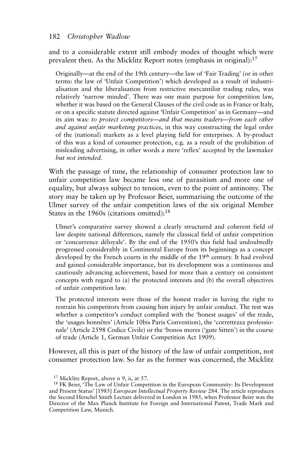and to a considerable extent still embody modes of thought which were prevalent then. As the Micklitz Report notes (emphasis in original):17

Originally—at the end of the 19th century—the law of 'Fair Trading' (or in other terms: the law of 'Unfair Competition') which developed as a result of industrialisation and the liberalisation from restrictive mercantilist trading rules, was relatively 'narrow minded'. There was one main purpose for competition law, whether it was based on the General Clauses of the civil code as in France or Italy, or on a specific statute directed against 'Unfair Competition' as in Germany—and its aim was: *to protect competitors—and that means traders—from each other and against unfair marketing practices*, in this way constructing the legal order of the (national) markets as a level playing field for enterprises. A by-product of this was a kind of consumer protection, e.g. as a result of the prohibition of misleading advertising, in other words a mere 'reflex' accepted by the lawmaker *but not intended*.

With the passage of time, the relationship of consumer protection law to unfair competition law became less one of parasitism and more one of equality, but always subject to tension, even to the point of antinomy. The story may be taken up by Professor Beier, summarising the outcome of the Ulmer survey of the unfair competition laws of the six original Member States in the 1960s (citations omitted):<sup>18</sup>

Ulmer's comparative survey showed a clearly structured and coherent field of law despite national differences, namely the classical field of unfair competition or 'concurrence déloyale'. By the end of the 1950's this field had undoubtedly progressed considerably in Continental Europe from its beginnings as a concept developed by the French courts in the middle of the 19<sup>th</sup> century. It had evolved and gained considerable importance, but its development was a continuous and cautiously advancing achievement, based for more than a century on consistent concepts with regard to (a) the protected interests and (b) the overall objectives of unfair competition law.

The protected interests were those of the honest trader in having the right to restrain his competitors from causing him injury by unfair conduct. The test was whether a competitor's conduct complied with the 'honest usages' of the trade, the 'usages honnêtes' (Article 10bis Paris Convention), the 'correttezza professionale' (Article 2598 Codice Civile) or the 'bonos mores ('gute Sitten') in the course of trade (Article 1, German Unfair Competition Act 1909).

However, all this is part of the history of the law of unfair competition, not consumer protection law. So far as the former was concerned, the Micklitz

<sup>17</sup> Micklitz Report, above n 9, ii, at 57.

<sup>&</sup>lt;sup>18</sup> FK Beier, 'The Law of Unfair Competition in the European Community: Its Development and Present Status' [1985] *European Intellectual Property Review* 284. The article reproduces the Second Herschel Smith Lecture delivered in London in 1985, when Professor Beier was the Director of the Max Planck Institute for Foreign and International Patent, Trade Mark and Competition Law, Munich.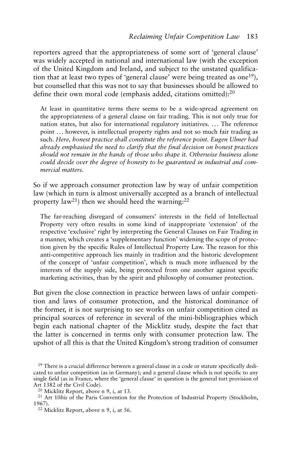reporters agreed that the appropriateness of some sort of 'general clause' was widely accepted in national and international law (with the exception of the United Kingdom and Ireland, and subject to the unstated qualification that at least two types of 'general clause' were being treated as one<sup>19</sup>), but counselled that this was not to say that businesses should be allowed to define their own moral code (emphasis added, citations omitted):<sup>20</sup>

At least in quantitative terms there seems to be a wide-spread agreement on the appropriateness of a general clause on fair trading. This is not only true for nation states, but also for international regulatory initiatives. ... The reference point ... however, is intellectual property rights and not so much fair trading as such. *Here, honest practice shall constitute the reference point. Eugen Ulmer had already emphasised the need to clarify that the final decision on honest practices should not remain in the hands of those who shape it. Otherwise business alone could decide over the degree of honesty to be guaranteed in industrial and commercial matters*.

So if we approach consumer protection law by way of unfair competition law (which in turn is almost universally accepted as a branch of intellectual property  $law^{21}$ ) then we should heed the warning:  $22$ 

The far-reaching disregard of consumers' interests in the field of Intellectual Property very often results in some kind of inappropriate 'extension' of the respective 'exclusive' right by interpreting the General Clauses on Fair Trading in a manner, which creates a 'supplementary function' widening the scope of protection given by the specific Rules of Intellectual Property Law. The reason for this anti-competitive approach lies mainly in tradition and the historic development of the concept of 'unfair competition', which is much more influenced by the interests of the supply side, being protected from one another against specific marketing activities, than by the spirit and philosophy of consumer protection.

But given the close connection in practice between laws of unfair competition and laws of consumer protection, and the historical dominance of the former, it is not surprising to see works on unfair competition cited as principal sources of reference in several of the mini-bibliographies which begin each national chapter of the Micklitz study, despite the fact that the latter is concerned in terms only with consumer protection law. The upshot of all this is that the United Kingdom's strong tradition of consumer

 $19$  There is a crucial difference between a general clause in a code or statute specifically dedicated to unfair competition (as in Germany); and a general clause which is not specific to any single field (as in France, where the 'general clause' in question is the general tort provision of Art 1382 of the Civil Code).

<sup>20</sup> Micklitz Report, above n 9, i, at 13.

<sup>21</sup> Art 10*bis* of the Paris Convention for the Protection of Industrial Property (Stockholm, 1967).

<sup>&</sup>lt;sup>22</sup> Micklitz Report, above n 9, i, at 56.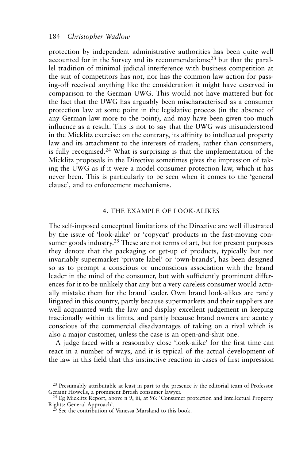protection by independent administrative authorities has been quite well accounted for in the Survey and its recommendations:<sup>23</sup> but that the parallel tradition of minimal judicial interference with business competition at the suit of competitors has not, nor has the common law action for passing-off received anything like the consideration it might have deserved in comparison to the German UWG. This would not have mattered but for the fact that the UWG has arguably been mischaracterised as a consumer protection law at some point in the legislative process (in the absence of any German law more to the point), and may have been given too much influence as a result. This is not to say that the UWG was misunderstood in the Micklitz exercise: on the contrary, its affinity to intellectual property law and its attachment to the interests of traders, rather than consumers, is fully recognised.<sup>24</sup> What is surprising is that the implementation of the Micklitz proposals in the Directive sometimes gives the impression of taking the UWG as if it were a model consumer protection law, which it has never been. This is particularly to be seen when it comes to the 'general clause', and to enforcement mechanisms.

#### 4. THE EXAMPLE OF LOOK-ALIKES

The self-imposed conceptual limitations of the Directive are well illustrated by the issue of 'look-alike' or 'copycat' products in the fast-moving consumer goods industry.<sup>25</sup> These are not terms of art, but for present purposes they denote that the packaging or get-up of products, typically but not invariably supermarket 'private label' or 'own-brands', has been designed so as to prompt a conscious or unconscious association with the brand leader in the mind of the consumer, but with sufficiently prominent differences for it to be unlikely that any but a very careless consumer would actually mistake them for the brand leader. Own brand look-alikes are rarely litigated in this country, partly because supermarkets and their suppliers are well acquainted with the law and display excellent judgement in keeping fractionally within its limits, and partly because brand owners are acutely conscious of the commercial disadvantages of taking on a rival which is also a major customer, unless the case is an open-and-shut one.

A judge faced with a reasonably close 'look-alike' for the first time can react in a number of ways, and it is typical of the actual development of the law in this field that this instinctive reaction in cases of first impression

<sup>&</sup>lt;sup>23</sup> Presumably attributable at least in part to the presence iv the editorial team of Professor Geraint Howells, a prominent British consumer lawyer.

<sup>&</sup>lt;sup>24</sup> Eg Micklitz Report, above n 9, iii, at 96: 'Consumer protection and Intellectual Property Rights: General Approach'.

 $^{25}$  See the contribution of Vanessa Marsland to this book.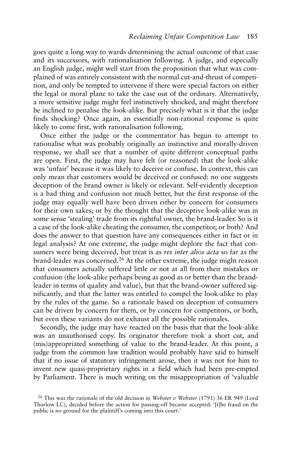goes quite a long way to wards determining the actual outcome of that case and its successors, with rationalisation following. A judge, and especially an English judge, might well start from the proposition that what was complained of was entirely consistent with the normal cut-and-thrust of competition, and only be tempted to intervene if there were special factors on either the legal or moral plane to take the case out of the ordinary. Alternatively, a more sensitive judge might feel instinctively shocked, and might therefore be inclined to penalise the look-alike. But precisely what is it that the judge finds shocking? Once again, an essentially non-rational response is quite likely to come first, with rationalisation following.

Once either the judge or the commentator has begun to attempt to rationalise what was probably originally an instinctive and morally-driven response, we shall see that a number of quite different conceptual paths are open. First, the judge may have felt (or reasoned) that the look-alike was 'unfair' because it was likely to deceive or confuse. In context, this can only mean that customers would be deceived or confused: no one suggests deception of the brand owner is likely or relevant. Self-evidently deception is a bad thing and confusion not much better, but the first response of the judge may equally well have been driven either by concern for consumers for their own sakes; or by the thought that the deceptive look-alike was in some sense 'stealing' trade from its rightful owner, the brand-leader. So is it a case of the look-alike cheating the consumer, the competitor, or both? And does the answer to that question have any consequences either in fact or in legal analysis? At one extreme, the judge might deplore the fact that consumers were being deceived, but treat is as *res inter alios acta* so far as the brand-leader was concerned.26 At the other extreme, the judge might reason that consumers actually suffered little or not at all from their mistakes or confusion (the look-alike perhaps being as good as or better than the brandleader in terms of quality and value), but that the brand-owner suffered significantly, and that the latter was entitled to compel the look-alike to play by the rules of the game. So a rationale based on deception of consumers can be driven by concern for them, or by concern for competitors, or both, but even these variants do not exhaust all the possible rationales.

Secondly, the judge may have reacted on the basis that that the look-alike was an unauthorised copy. Its originator therefore took a short cut, and (mis)appropriated something of value to the brand-leader. At this point, a judge from the common law tradition would probably have said to himself that if no issue of statutory infringement arose, then it was not for him to invent new quasi-proprietary rights in a field which had been pre-empted by Parliament. There is much writing on the misappropriation of 'valuable

<sup>26</sup> This was the rationale of the old decision in *Webster v Webster* (1791) 36 ER 949 (Lord Thurlow LC), decided before the action for passing-off became accepted: '[t]he fraud on the public is no ground for the plaintiff's coming into this court.'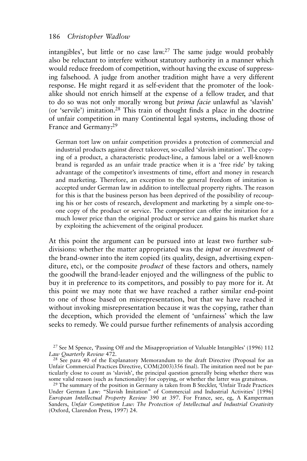#### 186 *Christopher Wadlow*

intangibles', but little or no case law.27 The same judge would probably also be reluctant to interfere without statutory authority in a manner which would reduce freedom of competition, without having the excuse of suppressing falsehood. A judge from another tradition might have a very different response. He might regard it as self-evident that the promoter of the lookalike should not enrich himself at the expense of a fellow trader, and that to do so was not only morally wrong but *prima facie* unlawful as 'slavish' (or 'servile') imitation.28 This train of thought finds a place in the doctrine of unfair competition in many Continental legal systems, including those of France and Germany:29

German tort law on unfair competition provides a protection of commercial and industrial products against direct takeover, so-called 'slavish imitation'. The copying of a product, a characteristic product-line, a famous label or a well-known brand is regarded as an unfair trade practice when it is a 'free ride' by taking advantage of the competitor's investments of time, effort and money in research and marketing. Therefore, an exception to the general freedom of imitation is accepted under German law in addition to intellectual property rights. The reason for this is that the business person has been deprived of the possibility of recouping his or her costs of research, development and marketing by a simple one-toone copy of the product or service. The competitor can offer the imitation for a much lower price than the original product or service and gains his market share by exploiting the achievement of the original producer.

At this point the argument can be pursued into at least two further subdivisions: whether the matter appropriated was the *input* or *investment* of the brand-owner into the item copied (its quality, design, advertising expenditure, etc), or the composite *product* of these factors and others, namely the goodwill the brand-leader enjoyed and the willingness of the public to buy it in preference to its competitors, and possibly to pay more for it. At this point we may note that we have reached a rather similar end-point to one of those based on misrepresentation, but that we have reached it without invoking misrepresentation because it was the copying, rather than the deception, which provided the element of 'unfairness' which the law seeks to remedy. We could pursue further refinements of analysis according

27 See M Spence, 'Passing Off and the Misappropriation of Valuable Intangibles' (1996) 112 *Law Quarterly Review* 472.

 $28 \n\widetilde{\text{See}}$  para 40 of the Explanatory Memorandum to the draft Directive (Proposal for an Unfair Commercial Practices Directive, COM(2003)356 final). The imitation need not be particularly close to count as 'slavish', the principal question generally being whether there was some valid reason (such as functionality) for copying, or whether the latter was gratuitous.

<sup>29</sup> The summary of the position in Germany is taken from B Steckler, 'Unfair Trade Practices Under German Law: "Slavish Imitation" of Commercial and Industrial Activities' [1996] *European Intellectual Property Review* 390 at 397. For France, see, eg, A Kamperman Sanders, *Unfair Competition Law: The Protection of Intellectual and Industrial Creativity* (Oxford, Clarendon Press, 1997) 24.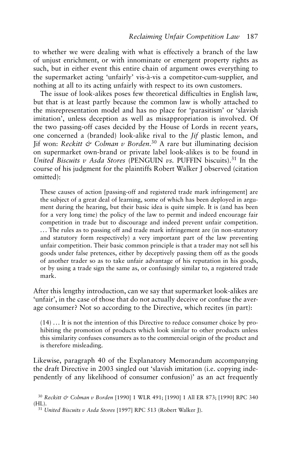to whether we were dealing with what is effectively a branch of the law of unjust enrichment, or with innominate or emergent property rights as such, but in either event this entire chain of argument owes everything to the supermarket acting 'unfairly' vis-à-vis a competitor-cum-supplier, and nothing at all to its acting unfairly with respect to its own customers.

The issue of look-alikes poses few theoretical difficulties in English law, but that is at least partly because the common law is wholly attached to the misrepresentation model and has no place for 'parasitism' or 'slavish imitation', unless deception as well as misappropriation is involved. Of the two passing-off cases decided by the House of Lords in recent years, one concerned a (branded) look-alike rival to the *Jif* plastic lemon, and Jif won: *Reckitt & Colman v Borden*. 30 A rare but illuminating decision on supermarket own-brand or private label look-alikes is to be found in *United Biscuits v Asda Stores* (PENGUIN *vs.* PUFFIN biscuits).31 In the course of his judgment for the plaintiffs Robert Walker J observed (citation omitted):

These causes of action [passing-off and registered trade mark infringement] are the subject of a great deal of learning, some of which has been deployed in argument during the hearing, but their basic idea is quite simple. It is (and has been for a very long time) the policy of the law to permit and indeed encourage fair competition in trade but to discourage and indeed prevent unfair competition. ... The rules as to passing off and trade mark infringement are (in non-statutory and statutory form respectively) a very important part of the law preventing unfair competition. Their basic common principle is that a trader may not sell his goods under false pretences, either by deceptively passing them off as the goods of another trader so as to take unfair advantage of his reputation in his goods, or by using a trade sign the same as, or confusingly similar to, a registered trade mark.

After this lengthy introduction, can we say that supermarket look-alikes are 'unfair', in the case of those that do not actually deceive or confuse the average consumer? Not so according to the Directive, which recites (in part):

 $(14)$ ... It is not the intention of this Directive to reduce consumer choice by prohibiting the promotion of products which look similar to other products unless this similarity confuses consumers as to the commercial origin of the product and is therefore misleading.

Likewise, paragraph 40 of the Explanatory Memorandum accompanying the draft Directive in 2003 singled out 'slavish imitation (i.e. copying independently of any likelihood of consumer confusion)' as an act frequently

<sup>31</sup> *United Biscuits v Asda Stores* [1997] RPC 513 (Robert Walker J).

<sup>30</sup> *Reckitt & Colman v Borden* [1990] 1 WLR 491; [1990] 1 All ER 873; [1990] RPC 340  $(HL)$ .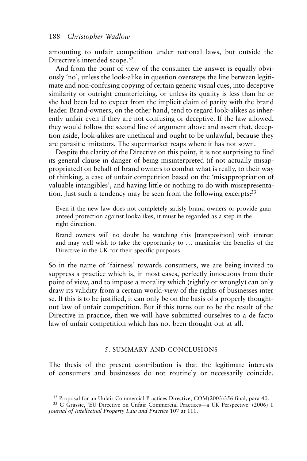amounting to unfair competition under national laws, but outside the Directive's intended scope.<sup>32</sup>

And from the point of view of the consumer the answer is equally obviously 'no', unless the look-alike in question oversteps the line between legitimate and non-confusing copying of certain generic visual cues, into deceptive similarity or outright counterfeiting, or unless its quality is less than he or she had been led to expect from the implicit claim of parity with the brand leader. Brand-owners, on the other hand, tend to regard look-alikes as inherently unfair even if they are not confusing or deceptive. If the law allowed, they would follow the second line of argument above and assert that, deception aside, look-alikes are unethical and ought to be unlawful, because they are parasitic imitators. The supermarket reaps where it has not sown.

Despite the clarity of the Directive on this point, it is not surprising to find its general clause in danger of being misinterpreted (if not actually misappropriated) on behalf of brand owners to combat what is really, to their way of thinking, a case of unfair competition based on the 'misappropriation of valuable intangibles', and having little or nothing to do with misrepresentation. Just such a tendency may be seen from the following excerpts:<sup>33</sup>

Even if the new law does not completely satisfy brand owners or provide guaranteed protection against lookalikes, it must be regarded as a step in the right direction.

Brand owners will no doubt be watching this [transposition] with interest and may well wish to take the opportunity to ... maximise the benefits of the Directive in the UK for their specific purposes.

So in the name of 'fairness' towards consumers, we are being invited to suppress a practice which is, in most cases, perfectly innocuous from their point of view, and to impose a morality which (rightly or wrongly) can only draw its validity from a certain world-view of the rights of businesses inter se. If this is to be justified, it can only be on the basis of a properly thoughtout law of unfair competition. But if this turns out to be the result of the Directive in practice, then we will have submitted ourselves to a de facto law of unfair competition which has not been thought out at all.

# 5. SUMMARY AND CONCLUSIONS

The thesis of the present contribution is that the legitimate interests of consumers and businesses do not routinely or necessarily coincide.

<sup>32</sup> Proposal for an Unfair Commercial Practices Directive, COM(2003)356 final, para 40.

<sup>33</sup> G Grassie, 'EU Directive on Unfair Commercial Practices—a UK Perspective' (2006) 1 *Journal of Intellectual Property Law and Practice* 107 at 111.